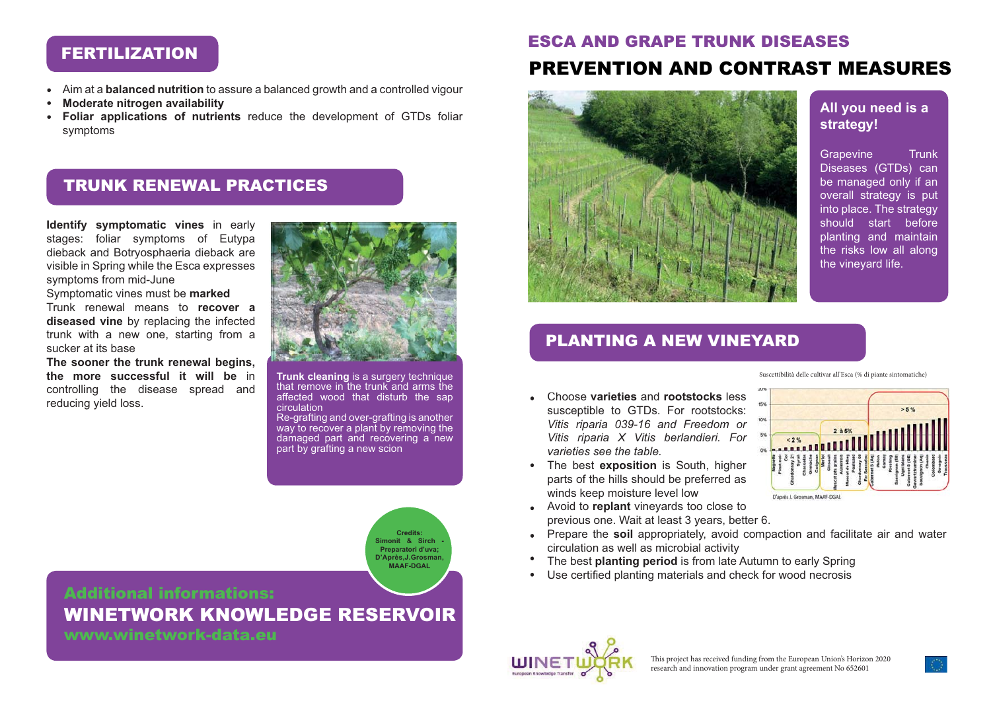# FERTILIZATION

- Aim at a **balanced nutrition** to assure a balanced growth and a controlled vigour  $\bullet$
- **Moderate nitrogen availability**  $\bullet$
- **Foliar applications of nutrients** reduce the development of GTDs foliar  $\bullet$ symptoms

## TRUNK RENEWAL PRACTICES

**Identify symptomatic vines** in early stages: foliar symptoms of Eutypa dieback and Botryosphaeria dieback are visible in Spring while the Esca expresses symptoms from mid-June

Symptomatic vines must be **marked**

Trunk renewal means to **recover a diseased vine** by replacing the infected trunk with a new one, starting from a sucker at its base

**The sooner the trunk renewal begins, the more successful it will be** in controlling the disease spread and reducing yield loss.



**Trunk cleaning** is a surgery technique that remove in the trunk and arms the affected wood that disturb the sap circulation

Re-grafting and over-grafting is another way to recover a plant by removing the damaged part and recovering a new part by grafting a new scion

> **Credits: Simonit & Sirch - Preparatori d'uva; D'Après,J.Grosman, MAAF-DGAL**

Additional informations: WINETWORK KNOWLEDGE RESERVOIR

www.winetwork-data.eu

# ESCA AND GRAPE TRUNK DISEASESPREVENTION AND CONTRAST MEASURES



#### **All you need is a strategy!**

Grapevine Trunk Diseases (GTDs) can be managed only if an overall strategy is put into place. The strategy should start before planting and maintain the risks low all along the vineyard life.

 $559$ 

### PLANTING A NEW VINEYARD

Suscettibilità delle cultivar all'Esca (% di piante sintomatiche)

 $296$ 

D'après J. Grosman, MAAF-DGAL

- Choose **varieties** and **rootstocks** less susceptible to GTDs. For rootstocks: *Vitis riparia 039-16 and Freedom or Vitis riparia X Vitis berlandieri. For varieties see the table.*
- The best **exposition** is South, higher parts of the hills should be preferred as winds keep moisture level low
- Avoid to **replant** vineyards too close to previous one. Wait at least 3 years, better 6.
- Prepare the **soil** appropriately, avoid compaction and facilitate air and water circulation as well as microbial activity
- The best **planting period** is from late Autumn to early Spring
- Use certified planting materials and check for wood necrosis